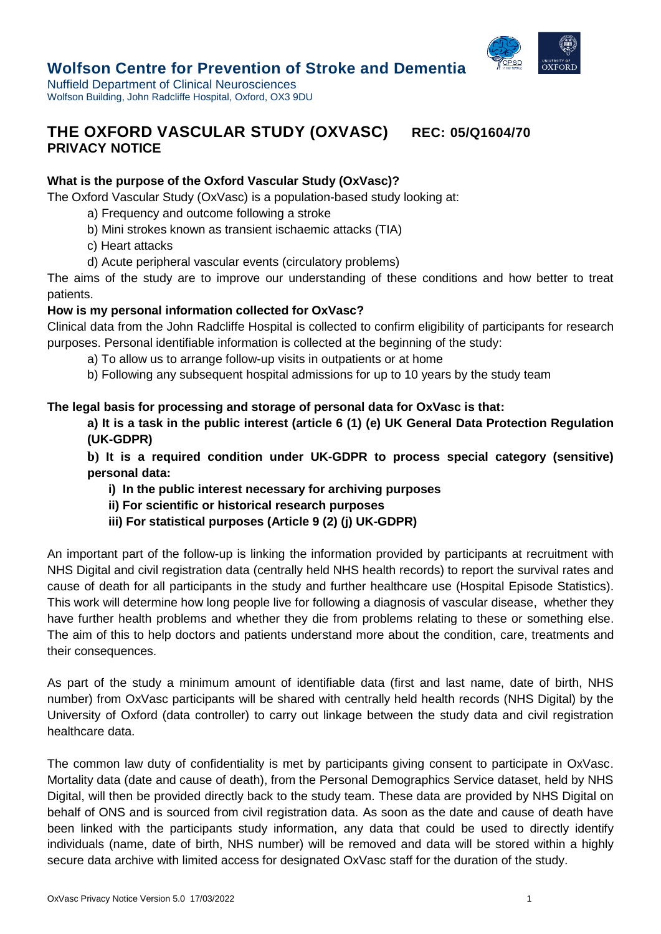

# **Wolfson Centre for Prevention of Stroke and Dementia**

Nuffield Department of Clinical Neurosciences Wolfson Building, John Radcliffe Hospital, Oxford, OX3 9DU

# **THE OXFORD VASCULAR STUDY (OXVASC) REC: 05/Q1604/70 PRIVACY NOTICE**

## **What is the purpose of the Oxford Vascular Study (OxVasc)?**

The Oxford Vascular Study (OxVasc) is a population-based study looking at:

- a) Frequency and outcome following a stroke
- b) Mini strokes known as transient ischaemic attacks (TIA)
- c) Heart attacks
- d) Acute peripheral vascular events (circulatory problems)

The aims of the study are to improve our understanding of these conditions and how better to treat patients.

## **How is my personal information collected for OxVasc?**

Clinical data from the John Radcliffe Hospital is collected to confirm eligibility of participants for research purposes. Personal identifiable information is collected at the beginning of the study:

- a) To allow us to arrange follow-up visits in outpatients or at home
- b) Following any subsequent hospital admissions for up to 10 years by the study team

## **The legal basis for processing and storage of personal data for OxVasc is that:**

**a) It is a task in the public interest (article 6 (1) (e) UK General Data Protection Regulation (UK-GDPR)**

**b) It is a required condition under UK-GDPR to process special category (sensitive) personal data:**

- **i) In the public interest necessary for archiving purposes**
- **ii) For scientific or historical research purposes**
- **iii) For statistical purposes (Article 9 (2) (j) UK-GDPR)**

An important part of the follow-up is linking the information provided by participants at recruitment with NHS Digital and civil registration data (centrally held NHS health records) to report the survival rates and cause of death for all participants in the study and further healthcare use (Hospital Episode Statistics). This work will determine how long people live for following a diagnosis of vascular disease, whether they have further health problems and whether they die from problems relating to these or something else. The aim of this to help doctors and patients understand more about the condition, care, treatments and their consequences.

As part of the study a minimum amount of identifiable data (first and last name, date of birth, NHS number) from OxVasc participants will be shared with centrally held health records (NHS Digital) by the University of Oxford (data controller) to carry out linkage between the study data and civil registration healthcare data.

The common law duty of confidentiality is met by participants giving consent to participate in OxVasc. Mortality data (date and cause of death), from the Personal Demographics Service dataset, held by NHS Digital, will then be provided directly back to the study team. These data are provided by NHS Digital on behalf of ONS and is sourced from civil registration data. As soon as the date and cause of death have been linked with the participants study information, any data that could be used to directly identify individuals (name, date of birth, NHS number) will be removed and data will be stored within a highly secure data archive with limited access for designated OxVasc staff for the duration of the study.